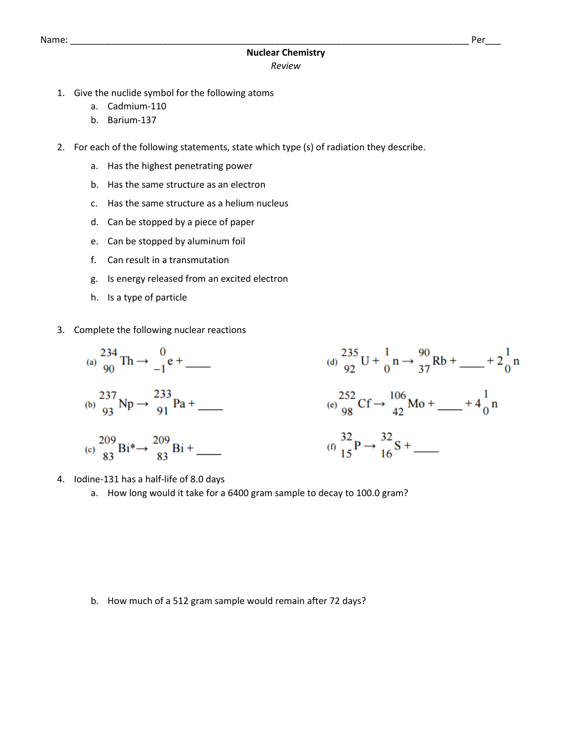## Name: \_\_\_\_\_\_\_\_\_\_\_\_\_\_\_\_\_\_\_\_\_\_\_\_\_\_\_\_\_\_\_\_\_\_\_\_\_\_\_\_\_\_\_\_\_\_\_\_\_\_\_\_\_\_\_\_\_\_\_\_\_\_\_\_\_\_\_\_\_\_\_\_\_\_\_\_\_\_ Per\_\_\_

- 1. Give the nuclide symbol for the following atoms
	- a. Cadmium-110
	- b. Barium-137
- 2. For each of the following statements, state which type (s) of radiation they describe.
	- a. Has the highest penetrating power
	- b. Has the same structure as an electron
	- c. Has the same structure as a helium nucleus
	- d. Can be stopped by a piece of paper
	- e. Can be stopped by aluminum foil
	- f. Can result in a transmutation
	- g. Is energy released from an excited electron
	- h. Is a type of particle
- 3. Complete the following nuclear reactions



- 4. Iodine-131 has a half-life of 8.0 days
	- a. How long would it take for a 6400 gram sample to decay to 100.0 gram?

b. How much of a 512 gram sample would remain after 72 days?